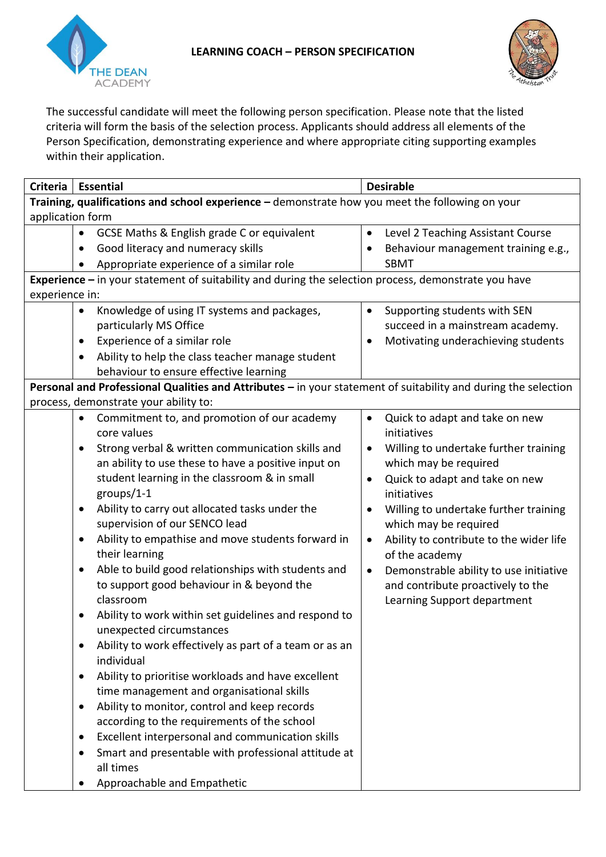



The successful candidate will meet the following person specification. Please note that the listed criteria will form the basis of the selection process. Applicants should address all elements of the Person Specification, demonstrating experience and where appropriate citing supporting examples within their application.

| <b>Criteria</b>                                                                                                | <b>Essential</b>                                                     | <b>Desirable</b>                                     |  |
|----------------------------------------------------------------------------------------------------------------|----------------------------------------------------------------------|------------------------------------------------------|--|
| Training, qualifications and school experience - demonstrate how you meet the following on your                |                                                                      |                                                      |  |
| application form                                                                                               |                                                                      |                                                      |  |
|                                                                                                                | GCSE Maths & English grade C or equivalent                           | Level 2 Teaching Assistant Course<br>$\bullet$       |  |
|                                                                                                                | Good literacy and numeracy skills                                    | Behaviour management training e.g.,                  |  |
|                                                                                                                | Appropriate experience of a similar role                             | <b>SBMT</b>                                          |  |
| Experience - in your statement of suitability and during the selection process, demonstrate you have           |                                                                      |                                                      |  |
| experience in:                                                                                                 |                                                                      |                                                      |  |
|                                                                                                                | Knowledge of using IT systems and packages,<br>$\bullet$             | Supporting students with SEN<br>$\bullet$            |  |
|                                                                                                                | particularly MS Office                                               | succeed in a mainstream academy.                     |  |
|                                                                                                                | Experience of a similar role                                         | Motivating underachieving students<br>$\bullet$      |  |
|                                                                                                                | Ability to help the class teacher manage student                     |                                                      |  |
|                                                                                                                | behaviour to ensure effective learning                               |                                                      |  |
| Personal and Professional Qualities and Attributes - in your statement of suitability and during the selection |                                                                      |                                                      |  |
| process, demonstrate your ability to:                                                                          |                                                                      |                                                      |  |
|                                                                                                                | Commitment to, and promotion of our academy<br>$\bullet$             | Quick to adapt and take on new<br>$\bullet$          |  |
|                                                                                                                | core values                                                          | initiatives                                          |  |
|                                                                                                                | Strong verbal & written communication skills and<br>$\bullet$        | Willing to undertake further training<br>$\bullet$   |  |
|                                                                                                                | an ability to use these to have a positive input on                  | which may be required                                |  |
|                                                                                                                | student learning in the classroom & in small                         | Quick to adapt and take on new<br>$\bullet$          |  |
|                                                                                                                | groups/1-1                                                           | initiatives                                          |  |
|                                                                                                                | Ability to carry out allocated tasks under the<br>$\bullet$          | Willing to undertake further training<br>$\bullet$   |  |
|                                                                                                                | supervision of our SENCO lead                                        | which may be required                                |  |
|                                                                                                                | Ability to empathise and move students forward in<br>٠               | Ability to contribute to the wider life<br>$\bullet$ |  |
|                                                                                                                | their learning                                                       | of the academy                                       |  |
|                                                                                                                | Able to build good relationships with students and<br>$\bullet$      | Demonstrable ability to use initiative<br>$\bullet$  |  |
|                                                                                                                | to support good behaviour in & beyond the                            | and contribute proactively to the                    |  |
|                                                                                                                | classroom                                                            | Learning Support department                          |  |
|                                                                                                                | Ability to work within set guidelines and respond to                 |                                                      |  |
|                                                                                                                | unexpected circumstances                                             |                                                      |  |
|                                                                                                                | Ability to work effectively as part of a team or as an<br>individual |                                                      |  |
|                                                                                                                | Ability to prioritise workloads and have excellent                   |                                                      |  |
|                                                                                                                | time management and organisational skills                            |                                                      |  |
|                                                                                                                | Ability to monitor, control and keep records<br>٠                    |                                                      |  |
|                                                                                                                | according to the requirements of the school                          |                                                      |  |
|                                                                                                                | Excellent interpersonal and communication skills<br>٠                |                                                      |  |
|                                                                                                                | Smart and presentable with professional attitude at                  |                                                      |  |
|                                                                                                                | all times                                                            |                                                      |  |
|                                                                                                                | Approachable and Empathetic                                          |                                                      |  |